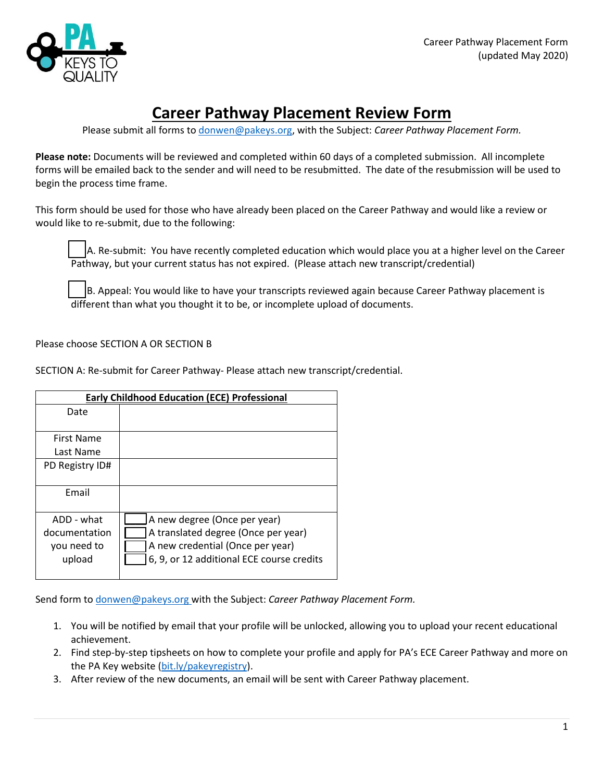

# **Career Pathway Placement Review Form**

Please submit all forms to [donwen@pakeys.org,](mailto:donwen@pakeys.org) with the Subject: *Career Pathway Placement Form.*

**Please note:** Documents will be reviewed and completed within 60 days of a completed submission. All incomplete forms will be emailed back to the sender and will need to be resubmitted. The date of the resubmission will be used to begin the process time frame.

This form should be used for those who have already been placed on the Career Pathway and would like a review or would like to re-submit, due to the following:

A. Re-submit: You have recently completed education which would place you at a higher level on the Career Pathway, but your current status has not expired. (Please attach new transcript/credential)

B. Appeal: You would like to have your transcripts reviewed again because Career Pathway placement is different than what you thought it to be, or incomplete upload of documents.

# Please choose SECTION A OR SECTION B

SECTION A: Re-submit for Career Pathway- Please attach new transcript/credential.

| <b>Early Childhood Education (ECE) Professional</b>  |                                                                                                                                                      |  |
|------------------------------------------------------|------------------------------------------------------------------------------------------------------------------------------------------------------|--|
| Date                                                 |                                                                                                                                                      |  |
| <b>First Name</b><br>Last Name                       |                                                                                                                                                      |  |
| PD Registry ID#                                      |                                                                                                                                                      |  |
| Email                                                |                                                                                                                                                      |  |
| ADD - what<br>documentation<br>you need to<br>upload | A new degree (Once per year)<br>A translated degree (Once per year)<br>A new credential (Once per year)<br>6, 9, or 12 additional ECE course credits |  |

Send form to [donwen@pakeys.org](mailto:donwen@pakeys.org) with the Subject: *Career Pathway Placement Form.*

- 1. You will be notified by email that your profile will be unlocked, allowing you to upload your recent educational achievement.
- 2. Find step-by-step tipsheets on how to complete your profile and apply for PA's ECE Career Pathway and more on the PA Key website [\(bit.ly/pakeyregistry\)](http://bit.ly/pakeyregistry).
- 3. After review of the new documents, an email will be sent with Career Pathway placement.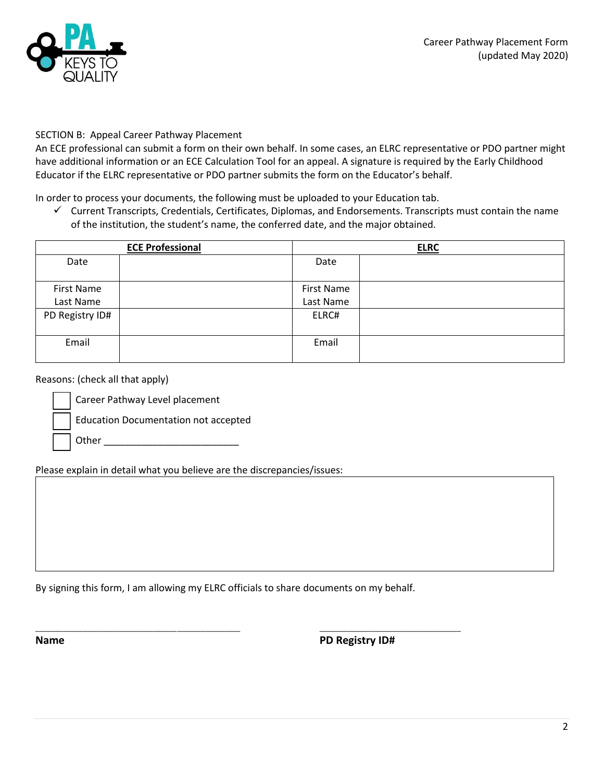

## SECTION B: Appeal Career Pathway Placement

An ECE professional can submit a form on their own behalf. In some cases, an ELRC representative or PDO partner might have additional information or an ECE Calculation Tool for an appeal. A signature is required by the Early Childhood Educator if the ELRC representative or PDO partner submits the form on the Educator's behalf.

In order to process your documents, the following must be uploaded to your Education tab.

✓ Current Transcripts, Credentials, Certificates, Diplomas, and Endorsements. Transcripts must contain the name of the institution, the student's name, the conferred date, and the major obtained.

| <b>ECE Professional</b> |  | <b>ELRC</b>                    |  |
|-------------------------|--|--------------------------------|--|
| Date                    |  | Date                           |  |
| First Name<br>Last Name |  | <b>First Name</b><br>Last Name |  |
| PD Registry ID#         |  | ELRC#                          |  |
| Email                   |  | Email                          |  |

### Reasons: (check all that apply)

Career Pathway Level placement

Education Documentation not accepted

Other \_\_\_\_\_\_\_\_\_\_\_\_\_\_\_\_\_\_\_\_\_\_\_\_\_

Please explain in detail what you believe are the discrepancies/issues:

By signing this form, I am allowing my ELRC officials to share documents on my behalf.

\_\_\_\_\_\_\_\_\_\_\_\_\_\_\_\_\_\_\_\_\_\_\_\_\_\_\_\_\_\_\_\_\_\_\_\_\_\_\_\_\_\_\_\_\_\_\_\_\_\_\_\_ \_\_\_\_\_\_\_\_\_\_\_\_\_\_\_\_\_\_\_\_\_\_\_\_\_\_\_\_\_\_\_\_\_\_\_\_

**Name PD Registry ID#**